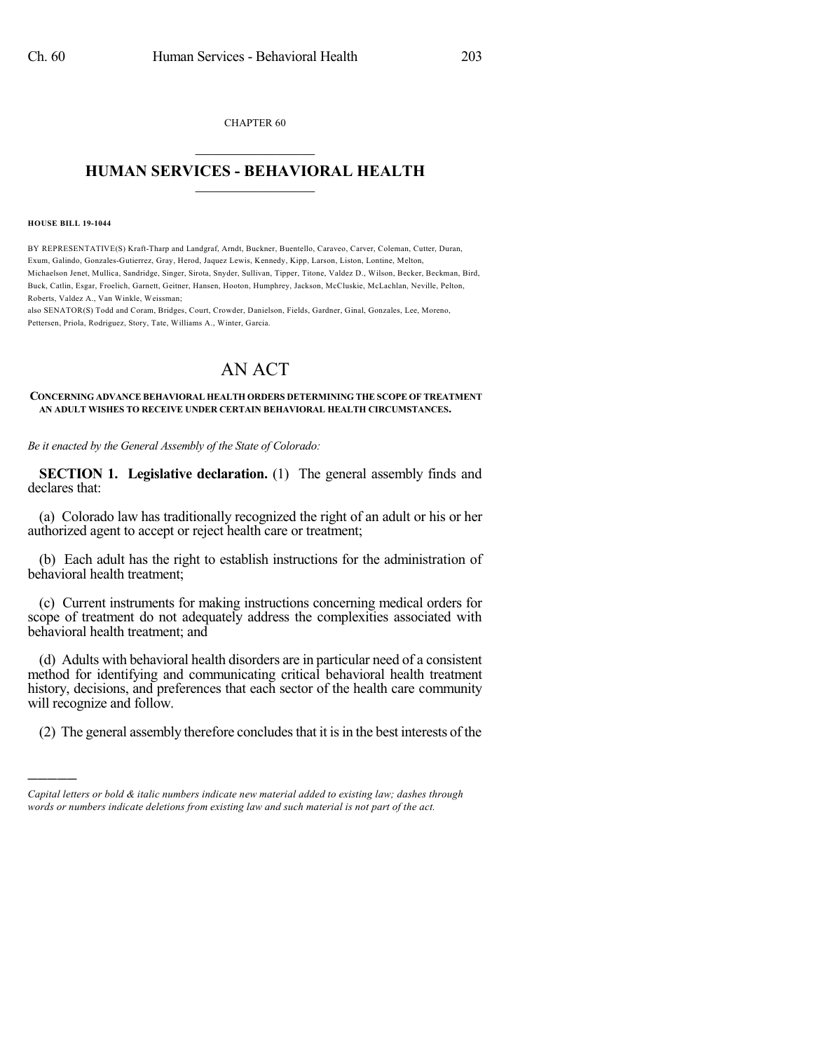CHAPTER 60  $\mathcal{L}_\text{max}$  . The set of the set of the set of the set of the set of the set of the set of the set of the set of the set of the set of the set of the set of the set of the set of the set of the set of the set of the set

## **HUMAN SERVICES - BEHAVIORAL HEALTH**  $\frac{1}{2}$  ,  $\frac{1}{2}$  ,  $\frac{1}{2}$  ,  $\frac{1}{2}$  ,  $\frac{1}{2}$  ,  $\frac{1}{2}$  ,  $\frac{1}{2}$

#### **HOUSE BILL 19-1044**

)))))

BY REPRESENTATIVE(S) Kraft-Tharp and Landgraf, Arndt, Buckner, Buentello, Caraveo, Carver, Coleman, Cutter, Duran, Exum, Galindo, Gonzales-Gutierrez, Gray, Herod, Jaquez Lewis, Kennedy, Kipp, Larson, Liston, Lontine, Melton, Michaelson Jenet, Mullica, Sandridge, Singer, Sirota, Snyder, Sullivan, Tipper, Titone, Valdez D., Wilson, Becker, Beckman, Bird, Buck, Catlin, Esgar, Froelich, Garnett, Geitner, Hansen, Hooton, Humphrey, Jackson, McCluskie, McLachlan, Neville, Pelton, Roberts, Valdez A., Van Winkle, Weissman;

also SENATOR(S) Todd and Coram, Bridges, Court, Crowder, Danielson, Fields, Gardner, Ginal, Gonzales, Lee, Moreno, Pettersen, Priola, Rodriguez, Story, Tate, Williams A., Winter, Garcia.

# AN ACT

### **CONCERNING ADVANCE BEHAVIORAL HEALTH ORDERS DETERMINING THE SCOPE OF TREATMENT AN ADULT WISHES TO RECEIVE UNDER CERTAIN BEHAVIORAL HEALTH CIRCUMSTANCES.**

*Be it enacted by the General Assembly of the State of Colorado:*

**SECTION 1. Legislative declaration.** (1) The general assembly finds and declares that:

(a) Colorado law has traditionally recognized the right of an adult or his or her authorized agent to accept or reject health care or treatment;

(b) Each adult has the right to establish instructions for the administration of behavioral health treatment;

(c) Current instruments for making instructions concerning medical orders for scope of treatment do not adequately address the complexities associated with behavioral health treatment; and

(d) Adults with behavioral health disorders are in particular need of a consistent method for identifying and communicating critical behavioral health treatment history, decisions, and preferences that each sector of the health care community will recognize and follow.

(2) The general assembly therefore concludesthat it isin the best interests of the

*Capital letters or bold & italic numbers indicate new material added to existing law; dashes through words or numbers indicate deletions from existing law and such material is not part of the act.*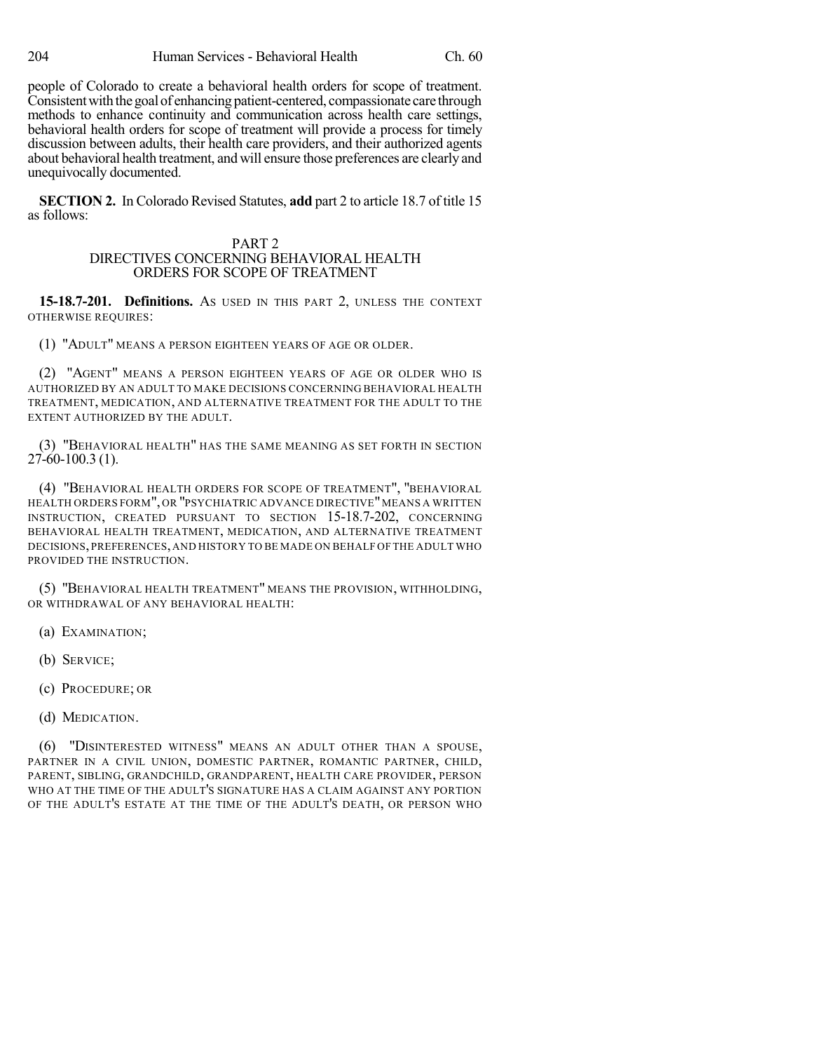people of Colorado to create a behavioral health orders for scope of treatment. Consistent with the goal of enhancing patient-centered, compassionate care through methods to enhance continuity and communication across health care settings, behavioral health orders for scope of treatment will provide a process for timely discussion between adults, their health care providers, and their authorized agents about behavioral health treatment, and will ensure those preferences are clearly and unequivocally documented.

**SECTION 2.** In Colorado Revised Statutes, **add** part 2 to article 18.7 of title 15 as follows:

## PART 2 DIRECTIVES CONCERNING BEHAVIORAL HEALTH ORDERS FOR SCOPE OF TREATMENT

**15-18.7-201. Definitions.** AS USED IN THIS PART 2, UNLESS THE CONTEXT OTHERWISE REQUIRES:

(1) "ADULT" MEANS A PERSON EIGHTEEN YEARS OF AGE OR OLDER.

(2) "AGENT" MEANS A PERSON EIGHTEEN YEARS OF AGE OR OLDER WHO IS AUTHORIZED BY AN ADULT TO MAKE DECISIONS CONCERNING BEHAVIORAL HEALTH TREATMENT, MEDICATION, AND ALTERNATIVE TREATMENT FOR THE ADULT TO THE EXTENT AUTHORIZED BY THE ADULT.

(3) "BEHAVIORAL HEALTH" HAS THE SAME MEANING AS SET FORTH IN SECTION  $27-60-100.3(1)$ .

(4) "BEHAVIORAL HEALTH ORDERS FOR SCOPE OF TREATMENT", "BEHAVIORAL HEALTH ORDERS FORM", OR "PSYCHIATRIC ADVANCE DIRECTIVE"MEANS A WRITTEN INSTRUCTION, CREATED PURSUANT TO SECTION 15-18.7-202, CONCERNING BEHAVIORAL HEALTH TREATMENT, MEDICATION, AND ALTERNATIVE TREATMENT DECISIONS, PREFERENCES,AND HISTORY TO BE MADE ON BEHALF OF THE ADULT WHO PROVIDED THE INSTRUCTION.

(5) "BEHAVIORAL HEALTH TREATMENT" MEANS THE PROVISION, WITHHOLDING, OR WITHDRAWAL OF ANY BEHAVIORAL HEALTH:

(a) EXAMINATION;

(b) SERVICE;

(c) PROCEDURE; OR

(d) MEDICATION.

(6) "DISINTERESTED WITNESS" MEANS AN ADULT OTHER THAN A SPOUSE, PARTNER IN A CIVIL UNION, DOMESTIC PARTNER, ROMANTIC PARTNER, CHILD, PARENT, SIBLING, GRANDCHILD, GRANDPARENT, HEALTH CARE PROVIDER, PERSON WHO AT THE TIME OF THE ADULT'S SIGNATURE HAS A CLAIM AGAINST ANY PORTION OF THE ADULT'S ESTATE AT THE TIME OF THE ADULT'S DEATH, OR PERSON WHO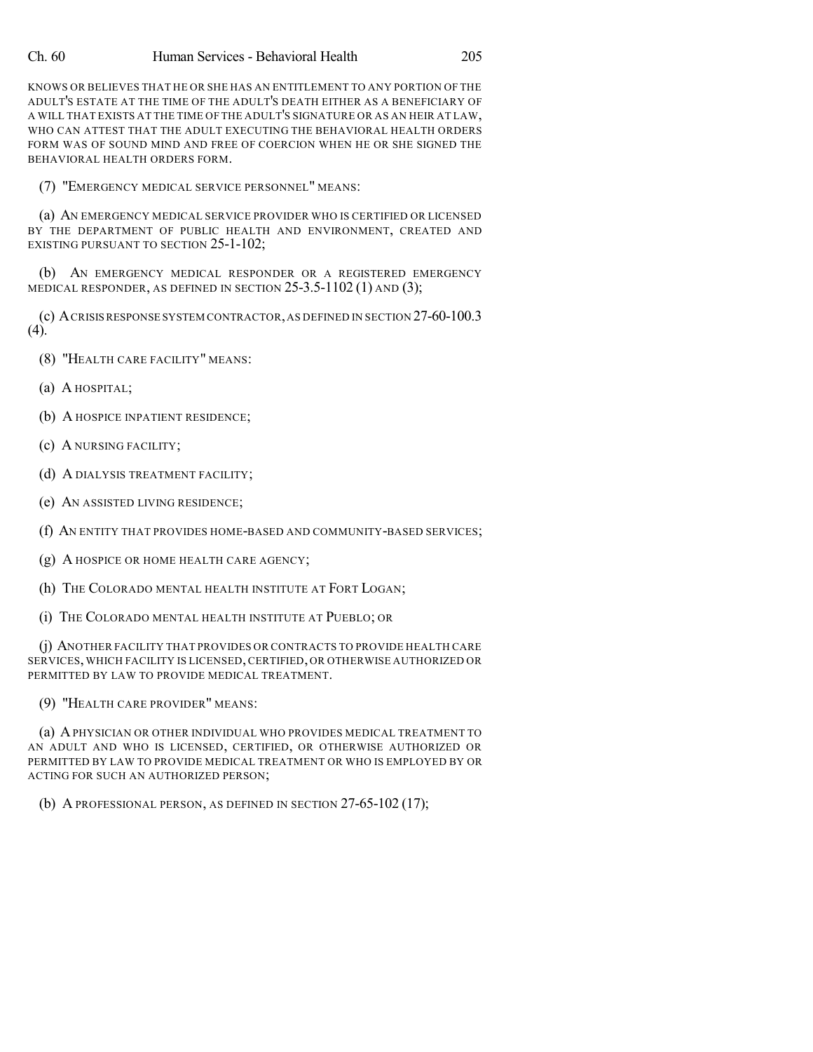KNOWS OR BELIEVES THAT HE OR SHE HAS AN ENTITLEMENT TO ANY PORTION OF THE ADULT'S ESTATE AT THE TIME OF THE ADULT'S DEATH EITHER AS A BENEFICIARY OF A WILL THAT EXISTS AT THE TIME OF THE ADULT'S SIGNATURE OR AS AN HEIR AT LAW, WHO CAN ATTEST THAT THE ADULT EXECUTING THE BEHAVIORAL HEALTH ORDERS FORM WAS OF SOUND MIND AND FREE OF COERCION WHEN HE OR SHE SIGNED THE BEHAVIORAL HEALTH ORDERS FORM.

(7) "EMERGENCY MEDICAL SERVICE PERSONNEL" MEANS:

(a) AN EMERGENCY MEDICAL SERVICE PROVIDER WHO IS CERTIFIED OR LICENSED BY THE DEPARTMENT OF PUBLIC HEALTH AND ENVIRONMENT, CREATED AND EXISTING PURSUANT TO SECTION 25-1-102;

(b) AN EMERGENCY MEDICAL RESPONDER OR A REGISTERED EMERGENCY MEDICAL RESPONDER, AS DEFINED IN SECTION 25-3.5-1102 (1) AND (3);

(c) ACRISISRESPONSE SYSTEM CONTRACTOR,AS DEFINED IN SECTION 27-60-100.3 (4).

- (8) "HEALTH CARE FACILITY" MEANS:
- (a) A HOSPITAL;
- (b) A HOSPICE INPATIENT RESIDENCE;
- (c) A NURSING FACILITY;
- (d) A DIALYSIS TREATMENT FACILITY;
- (e) AN ASSISTED LIVING RESIDENCE;
- (f) AN ENTITY THAT PROVIDES HOME-BASED AND COMMUNITY-BASED SERVICES;
- (g) A HOSPICE OR HOME HEALTH CARE AGENCY;
- (h) THE COLORADO MENTAL HEALTH INSTITUTE AT FORT LOGAN;
- (i) THE COLORADO MENTAL HEALTH INSTITUTE AT PUEBLO; OR

(j) ANOTHER FACILITY THAT PROVIDES OR CONTRACTS TO PROVIDE HEALTH CARE SERVICES, WHICH FACILITY IS LICENSED, CERTIFIED, OR OTHERWISE AUTHORIZED OR PERMITTED BY LAW TO PROVIDE MEDICAL TREATMENT.

(9) "HEALTH CARE PROVIDER" MEANS:

(a) APHYSICIAN OR OTHER INDIVIDUAL WHO PROVIDES MEDICAL TREATMENT TO AN ADULT AND WHO IS LICENSED, CERTIFIED, OR OTHERWISE AUTHORIZED OR PERMITTED BY LAW TO PROVIDE MEDICAL TREATMENT OR WHO IS EMPLOYED BY OR ACTING FOR SUCH AN AUTHORIZED PERSON;

(b) A PROFESSIONAL PERSON, AS DEFINED IN SECTION 27-65-102 (17);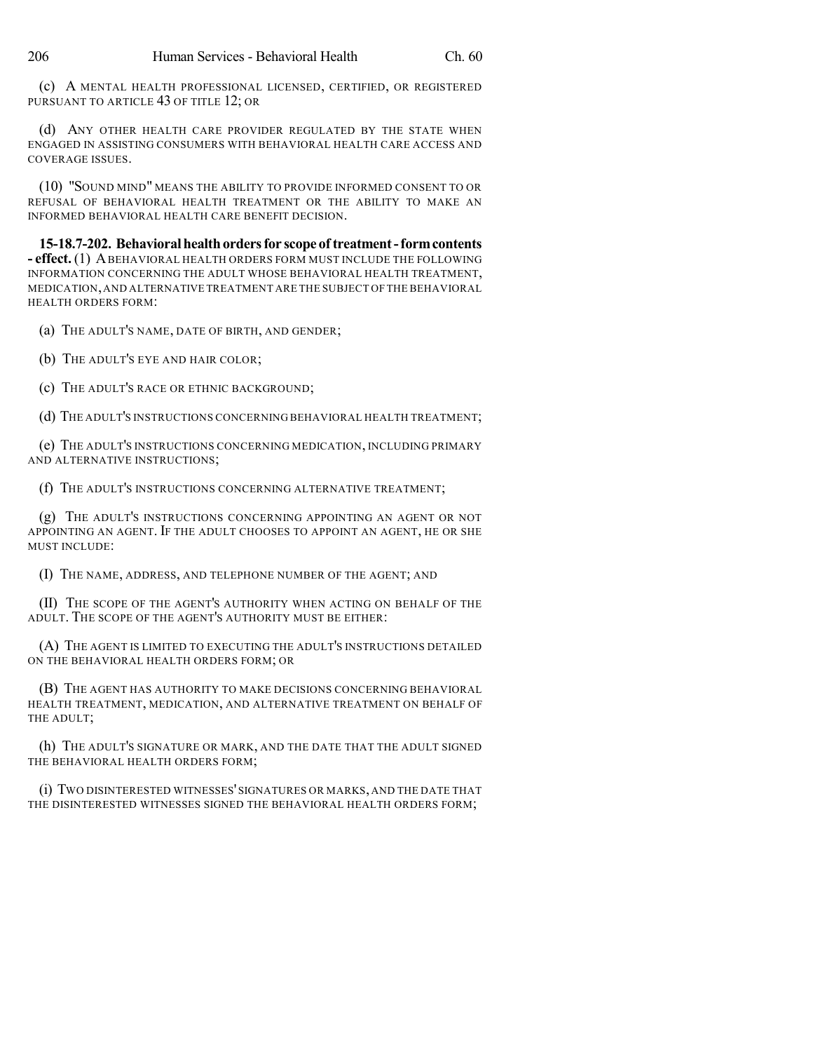(c) A MENTAL HEALTH PROFESSIONAL LICENSED, CERTIFIED, OR REGISTERED PURSUANT TO ARTICLE 43 OF TITLE 12; OR

(d) ANY OTHER HEALTH CARE PROVIDER REGULATED BY THE STATE WHEN ENGAGED IN ASSISTING CONSUMERS WITH BEHAVIORAL HEALTH CARE ACCESS AND COVERAGE ISSUES.

(10) "SOUND MIND" MEANS THE ABILITY TO PROVIDE INFORMED CONSENT TO OR REFUSAL OF BEHAVIORAL HEALTH TREATMENT OR THE ABILITY TO MAKE AN INFORMED BEHAVIORAL HEALTH CARE BENEFIT DECISION.

**15-18.7-202. Behavioralhealthordersfor scopeoftreatment-formcontents - effect.** (1) ABEHAVIORAL HEALTH ORDERS FORM MUST INCLUDE THE FOLLOWING INFORMATION CONCERNING THE ADULT WHOSE BEHAVIORAL HEALTH TREATMENT, MEDICATION,AND ALTERNATIVE TREATMENT ARE THE SUBJECT OF THE BEHAVIORAL HEALTH ORDERS FORM:

(a) THE ADULT'S NAME, DATE OF BIRTH, AND GENDER;

(b) THE ADULT'S EYE AND HAIR COLOR;

(c) THE ADULT'S RACE OR ETHNIC BACKGROUND;

(d) THE ADULT'S INSTRUCTIONS CONCERNING BEHAVIORAL HEALTH TREATMENT;

(e) THE ADULT'S INSTRUCTIONS CONCERNING MEDICATION, INCLUDING PRIMARY AND ALTERNATIVE INSTRUCTIONS;

(f) THE ADULT'S INSTRUCTIONS CONCERNING ALTERNATIVE TREATMENT;

(g) THE ADULT'S INSTRUCTIONS CONCERNING APPOINTING AN AGENT OR NOT APPOINTING AN AGENT. IF THE ADULT CHOOSES TO APPOINT AN AGENT, HE OR SHE MUST INCLUDE:

(I) THE NAME, ADDRESS, AND TELEPHONE NUMBER OF THE AGENT; AND

(II) THE SCOPE OF THE AGENT'S AUTHORITY WHEN ACTING ON BEHALF OF THE ADULT. THE SCOPE OF THE AGENT'S AUTHORITY MUST BE EITHER:

(A) THE AGENT IS LIMITED TO EXECUTING THE ADULT'S INSTRUCTIONS DETAILED ON THE BEHAVIORAL HEALTH ORDERS FORM; OR

(B) THE AGENT HAS AUTHORITY TO MAKE DECISIONS CONCERNING BEHAVIORAL HEALTH TREATMENT, MEDICATION, AND ALTERNATIVE TREATMENT ON BEHALF OF THE ADULT;

(h) THE ADULT'S SIGNATURE OR MARK, AND THE DATE THAT THE ADULT SIGNED THE BEHAVIORAL HEALTH ORDERS FORM;

(i) TWO DISINTERESTED WITNESSES' SIGNATURES OR MARKS, AND THE DATE THAT THE DISINTERESTED WITNESSES SIGNED THE BEHAVIORAL HEALTH ORDERS FORM;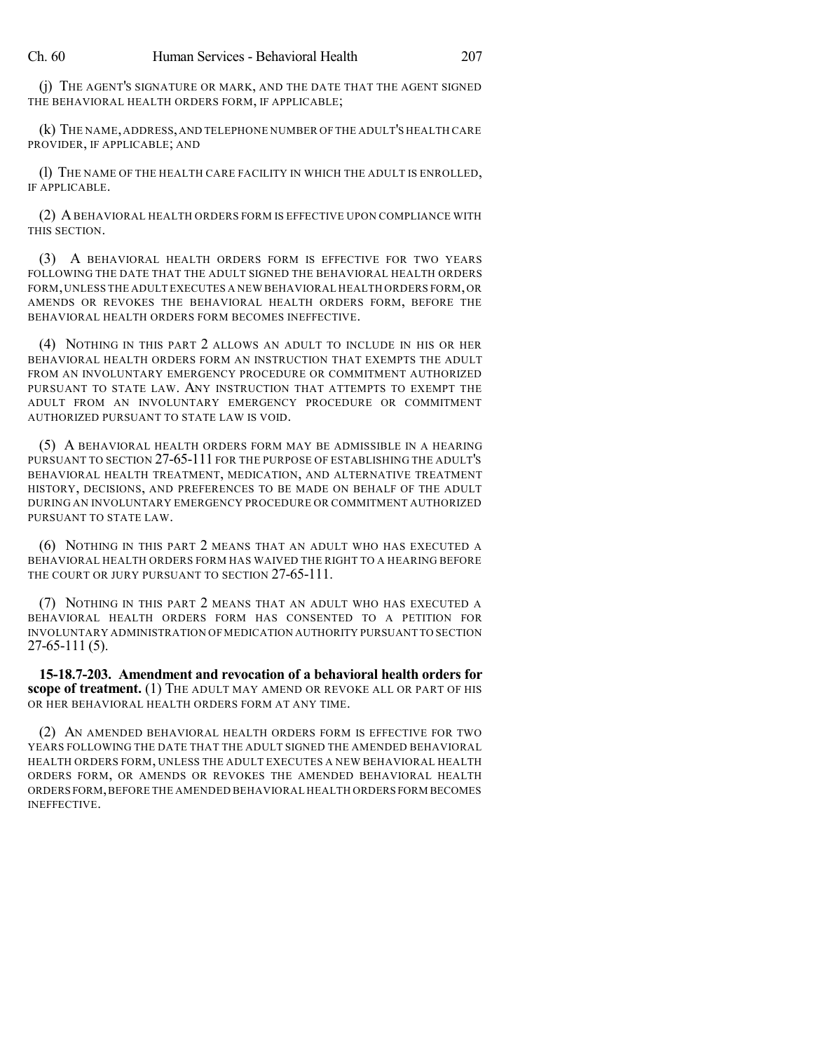(j) THE AGENT'S SIGNATURE OR MARK, AND THE DATE THAT THE AGENT SIGNED THE BEHAVIORAL HEALTH ORDERS FORM, IF APPLICABLE;

(k) THE NAME,ADDRESS,AND TELEPHONE NUMBER OF THE ADULT'S HEALTH CARE PROVIDER, IF APPLICABLE; AND

(l) THE NAME OF THE HEALTH CARE FACILITY IN WHICH THE ADULT IS ENROLLED, IF APPLICABLE.

(2) ABEHAVIORAL HEALTH ORDERS FORM IS EFFECTIVE UPON COMPLIANCE WITH THIS SECTION.

(3) A BEHAVIORAL HEALTH ORDERS FORM IS EFFECTIVE FOR TWO YEARS FOLLOWING THE DATE THAT THE ADULT SIGNED THE BEHAVIORAL HEALTH ORDERS FORM,UNLESS THE ADULT EXECUTES A NEW BEHAVIORAL HEALTH ORDERS FORM,OR AMENDS OR REVOKES THE BEHAVIORAL HEALTH ORDERS FORM, BEFORE THE BEHAVIORAL HEALTH ORDERS FORM BECOMES INEFFECTIVE.

(4) NOTHING IN THIS PART 2 ALLOWS AN ADULT TO INCLUDE IN HIS OR HER BEHAVIORAL HEALTH ORDERS FORM AN INSTRUCTION THAT EXEMPTS THE ADULT FROM AN INVOLUNTARY EMERGENCY PROCEDURE OR COMMITMENT AUTHORIZED PURSUANT TO STATE LAW. ANY INSTRUCTION THAT ATTEMPTS TO EXEMPT THE ADULT FROM AN INVOLUNTARY EMERGENCY PROCEDURE OR COMMITMENT AUTHORIZED PURSUANT TO STATE LAW IS VOID.

(5) A BEHAVIORAL HEALTH ORDERS FORM MAY BE ADMISSIBLE IN A HEARING PURSUANT TO SECTION 27-65-111 FOR THE PURPOSE OF ESTABLISHING THE ADULT'S BEHAVIORAL HEALTH TREATMENT, MEDICATION, AND ALTERNATIVE TREATMENT HISTORY, DECISIONS, AND PREFERENCES TO BE MADE ON BEHALF OF THE ADULT DURING AN INVOLUNTARY EMERGENCY PROCEDURE OR COMMITMENT AUTHORIZED PURSUANT TO STATE LAW.

(6) NOTHING IN THIS PART 2 MEANS THAT AN ADULT WHO HAS EXECUTED A BEHAVIORAL HEALTH ORDERS FORM HAS WAIVED THE RIGHT TO A HEARING BEFORE THE COURT OR JURY PURSUANT TO SECTION 27-65-111.

(7) NOTHING IN THIS PART 2 MEANS THAT AN ADULT WHO HAS EXECUTED A BEHAVIORAL HEALTH ORDERS FORM HAS CONSENTED TO A PETITION FOR INVOLUNTARY ADMINISTRATION OF MEDICATION AUTHORITY PURSUANT TO SECTION 27-65-111 (5).

**15-18.7-203. Amendment and revocation of a behavioral health orders for scope of treatment.** (1) THE ADULT MAY AMEND OR REVOKE ALL OR PART OF HIS OR HER BEHAVIORAL HEALTH ORDERS FORM AT ANY TIME.

(2) AN AMENDED BEHAVIORAL HEALTH ORDERS FORM IS EFFECTIVE FOR TWO YEARS FOLLOWING THE DATE THAT THE ADULT SIGNED THE AMENDED BEHAVIORAL HEALTH ORDERS FORM, UNLESS THE ADULT EXECUTES A NEW BEHAVIORAL HEALTH ORDERS FORM, OR AMENDS OR REVOKES THE AMENDED BEHAVIORAL HEALTH ORDERS FORM,BEFORE THE AMENDED BEHAVIORAL HEALTH ORDERS FORM BECOMES INEFFECTIVE.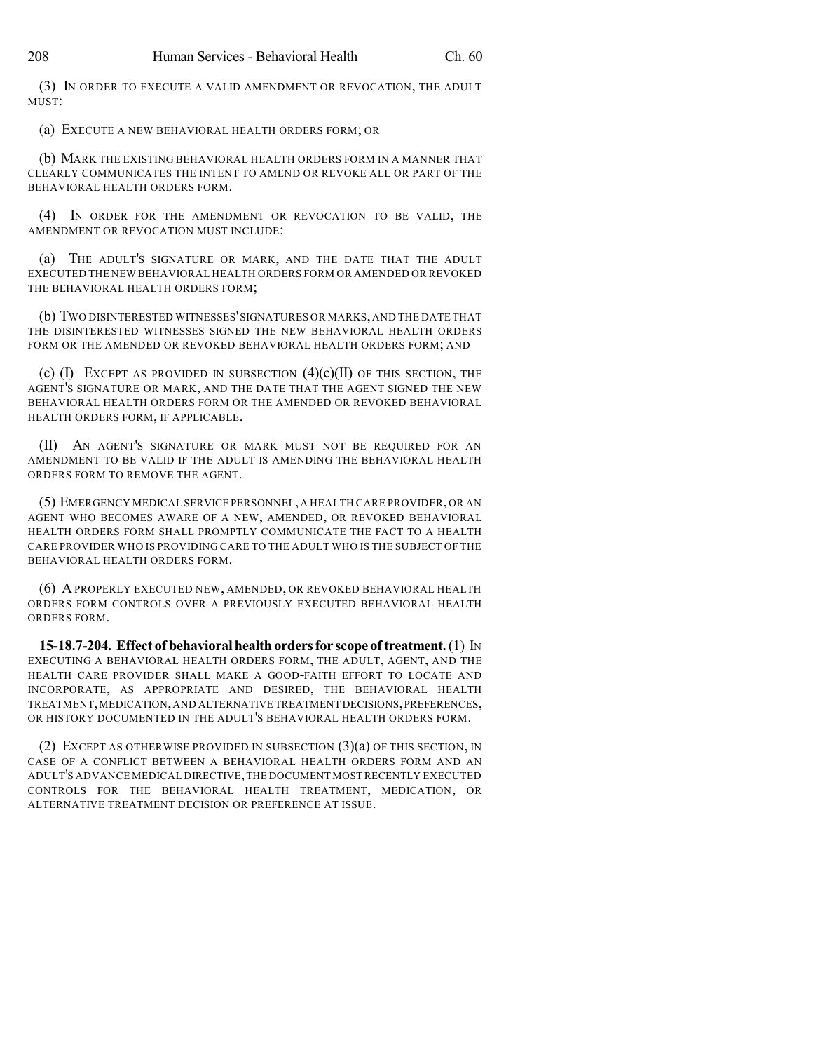(3) IN ORDER TO EXECUTE A VALID AMENDMENT OR REVOCATION, THE ADULT MUST:

(a) EXECUTE A NEW BEHAVIORAL HEALTH ORDERS FORM; OR

(b) MARK THE EXISTING BEHAVIORAL HEALTH ORDERS FORM IN A MANNER THAT CLEARLY COMMUNICATES THE INTENT TO AMEND OR REVOKE ALL OR PART OF THE BEHAVIORAL HEALTH ORDERS FORM.

(4) IN ORDER FOR THE AMENDMENT OR REVOCATION TO BE VALID, THE AMENDMENT OR REVOCATION MUST INCLUDE:

(a) THE ADULT'S SIGNATURE OR MARK, AND THE DATE THAT THE ADULT EXECUTED THE NEW BEHAVIORAL HEALTH ORDERS FORM OR AMENDED OR REVOKED THE BEHAVIORAL HEALTH ORDERS FORM;

(b) TWO DISINTERESTED WITNESSES'SIGNATURES OR MARKS,AND THE DATE THAT THE DISINTERESTED WITNESSES SIGNED THE NEW BEHAVIORAL HEALTH ORDERS FORM OR THE AMENDED OR REVOKED BEHAVIORAL HEALTH ORDERS FORM; AND

(c)  $(I)$  EXCEPT AS PROVIDED IN SUBSECTION  $(4)(c)(II)$  OF THIS SECTION, THE AGENT'S SIGNATURE OR MARK, AND THE DATE THAT THE AGENT SIGNED THE NEW BEHAVIORAL HEALTH ORDERS FORM OR THE AMENDED OR REVOKED BEHAVIORAL HEALTH ORDERS FORM, IF APPLICABLE.

(II) AN AGENT'S SIGNATURE OR MARK MUST NOT BE REQUIRED FOR AN AMENDMENT TO BE VALID IF THE ADULT IS AMENDING THE BEHAVIORAL HEALTH ORDERS FORM TO REMOVE THE AGENT.

(5) EMERGENCY MEDICAL SERVICE PERSONNEL,A HEALTH CARE PROVIDER,OR AN AGENT WHO BECOMES AWARE OF A NEW, AMENDED, OR REVOKED BEHAVIORAL HEALTH ORDERS FORM SHALL PROMPTLY COMMUNICATE THE FACT TO A HEALTH CARE PROVIDER WHO IS PROVIDING CARE TO THE ADULT WHO IS THE SUBJECT OF THE BEHAVIORAL HEALTH ORDERS FORM.

(6) APROPERLY EXECUTED NEW, AMENDED, OR REVOKED BEHAVIORAL HEALTH ORDERS FORM CONTROLS OVER A PREVIOUSLY EXECUTED BEHAVIORAL HEALTH ORDERS FORM.

**15-18.7-204. Effect of behavioral health orders for scope of treatment.** (1) In EXECUTING A BEHAVIORAL HEALTH ORDERS FORM, THE ADULT, AGENT, AND THE HEALTH CARE PROVIDER SHALL MAKE A GOOD-FAITH EFFORT TO LOCATE AND INCORPORATE, AS APPROPRIATE AND DESIRED, THE BEHAVIORAL HEALTH TREATMENT,MEDICATION,AND ALTERNATIVE TREATMENT DECISIONS,PREFERENCES, OR HISTORY DOCUMENTED IN THE ADULT'S BEHAVIORAL HEALTH ORDERS FORM.

(2) EXCEPT AS OTHERWISE PROVIDED IN SUBSECTION  $(3)(a)$  OF THIS SECTION, IN CASE OF A CONFLICT BETWEEN A BEHAVIORAL HEALTH ORDERS FORM AND AN ADULT'S ADVANCE MEDICAL DIRECTIVE,THE DOCUMENT MOST RECENTLY EXECUTED CONTROLS FOR THE BEHAVIORAL HEALTH TREATMENT, MEDICATION, OR ALTERNATIVE TREATMENT DECISION OR PREFERENCE AT ISSUE.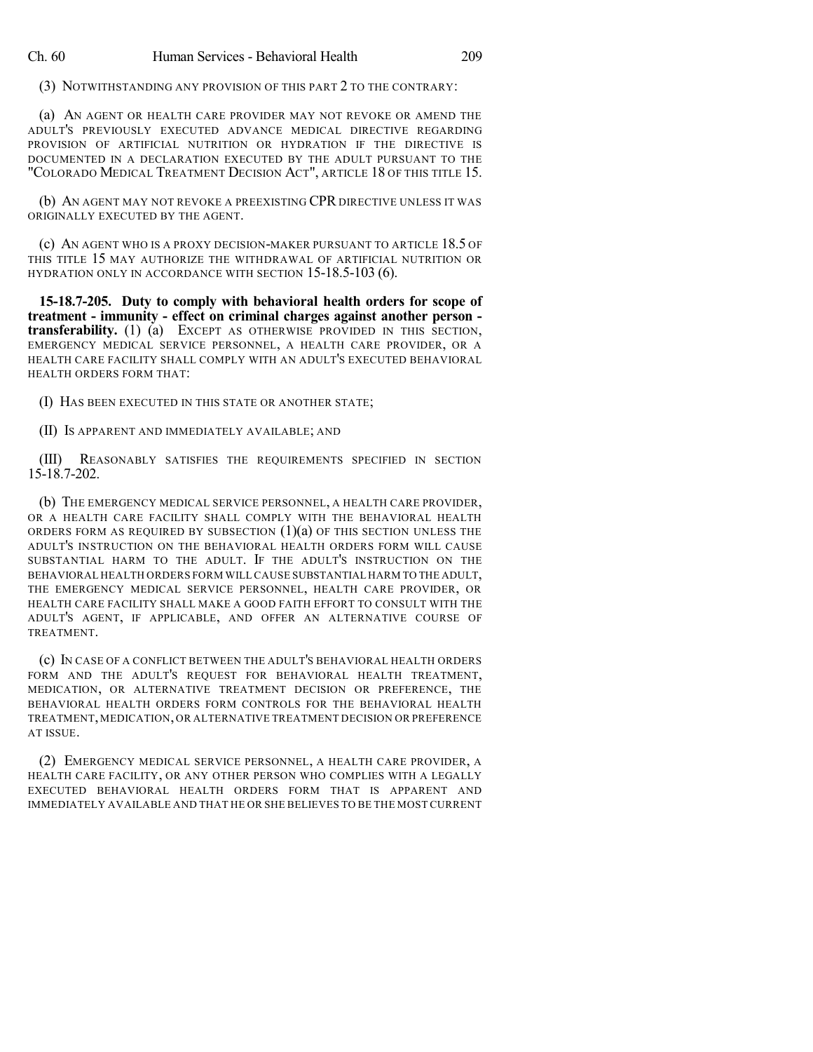(3) NOTWITHSTANDING ANY PROVISION OF THIS PART 2 TO THE CONTRARY:

(a) AN AGENT OR HEALTH CARE PROVIDER MAY NOT REVOKE OR AMEND THE ADULT'S PREVIOUSLY EXECUTED ADVANCE MEDICAL DIRECTIVE REGARDING PROVISION OF ARTIFICIAL NUTRITION OR HYDRATION IF THE DIRECTIVE IS DOCUMENTED IN A DECLARATION EXECUTED BY THE ADULT PURSUANT TO THE "COLORADO MEDICAL TREATMENT DECISION ACT", ARTICLE 18 OF THIS TITLE 15.

(b) AN AGENT MAY NOT REVOKE A PREEXISTING CPR DIRECTIVE UNLESS IT WAS ORIGINALLY EXECUTED BY THE AGENT.

(c) AN AGENT WHO IS A PROXY DECISION-MAKER PURSUANT TO ARTICLE 18.5 OF THIS TITLE 15 MAY AUTHORIZE THE WITHDRAWAL OF ARTIFICIAL NUTRITION OR HYDRATION ONLY IN ACCORDANCE WITH SECTION 15-18.5-103 (6).

**15-18.7-205. Duty to comply with behavioral health orders for scope of treatment - immunity - effect on criminal charges against another person transferability.** (1) (a) EXCEPT AS OTHERWISE PROVIDED IN THIS SECTION, EMERGENCY MEDICAL SERVICE PERSONNEL, A HEALTH CARE PROVIDER, OR A HEALTH CARE FACILITY SHALL COMPLY WITH AN ADULT'S EXECUTED BEHAVIORAL HEALTH ORDERS FORM THAT:

(I) HAS BEEN EXECUTED IN THIS STATE OR ANOTHER STATE;

(II) IS APPARENT AND IMMEDIATELY AVAILABLE; AND

(III) REASONABLY SATISFIES THE REQUIREMENTS SPECIFIED IN SECTION 15-18.7-202.

(b) THE EMERGENCY MEDICAL SERVICE PERSONNEL, A HEALTH CARE PROVIDER, OR A HEALTH CARE FACILITY SHALL COMPLY WITH THE BEHAVIORAL HEALTH ORDERS FORM AS REQUIRED BY SUBSECTION  $(1)(a)$  of this section unless the ADULT'S INSTRUCTION ON THE BEHAVIORAL HEALTH ORDERS FORM WILL CAUSE SUBSTANTIAL HARM TO THE ADULT. IF THE ADULT'S INSTRUCTION ON THE BEHAVIORAL HEALTH ORDERS FORM WILL CAUSE SUBSTANTIAL HARM TO THE ADULT, THE EMERGENCY MEDICAL SERVICE PERSONNEL, HEALTH CARE PROVIDER, OR HEALTH CARE FACILITY SHALL MAKE A GOOD FAITH EFFORT TO CONSULT WITH THE ADULT'S AGENT, IF APPLICABLE, AND OFFER AN ALTERNATIVE COURSE OF **TREATMENT** 

(c) IN CASE OF A CONFLICT BETWEEN THE ADULT'S BEHAVIORAL HEALTH ORDERS FORM AND THE ADULT'S REQUEST FOR BEHAVIORAL HEALTH TREATMENT, MEDICATION, OR ALTERNATIVE TREATMENT DECISION OR PREFERENCE, THE BEHAVIORAL HEALTH ORDERS FORM CONTROLS FOR THE BEHAVIORAL HEALTH TREATMENT, MEDICATION, OR ALTERNATIVE TREATMENT DECISION OR PREFERENCE AT ISSUE.

(2) EMERGENCY MEDICAL SERVICE PERSONNEL, A HEALTH CARE PROVIDER, A HEALTH CARE FACILITY, OR ANY OTHER PERSON WHO COMPLIES WITH A LEGALLY EXECUTED BEHAVIORAL HEALTH ORDERS FORM THAT IS APPARENT AND IMMEDIATELY AVAILABLE AND THAT HE OR SHE BELIEVES TO BE THE MOST CURRENT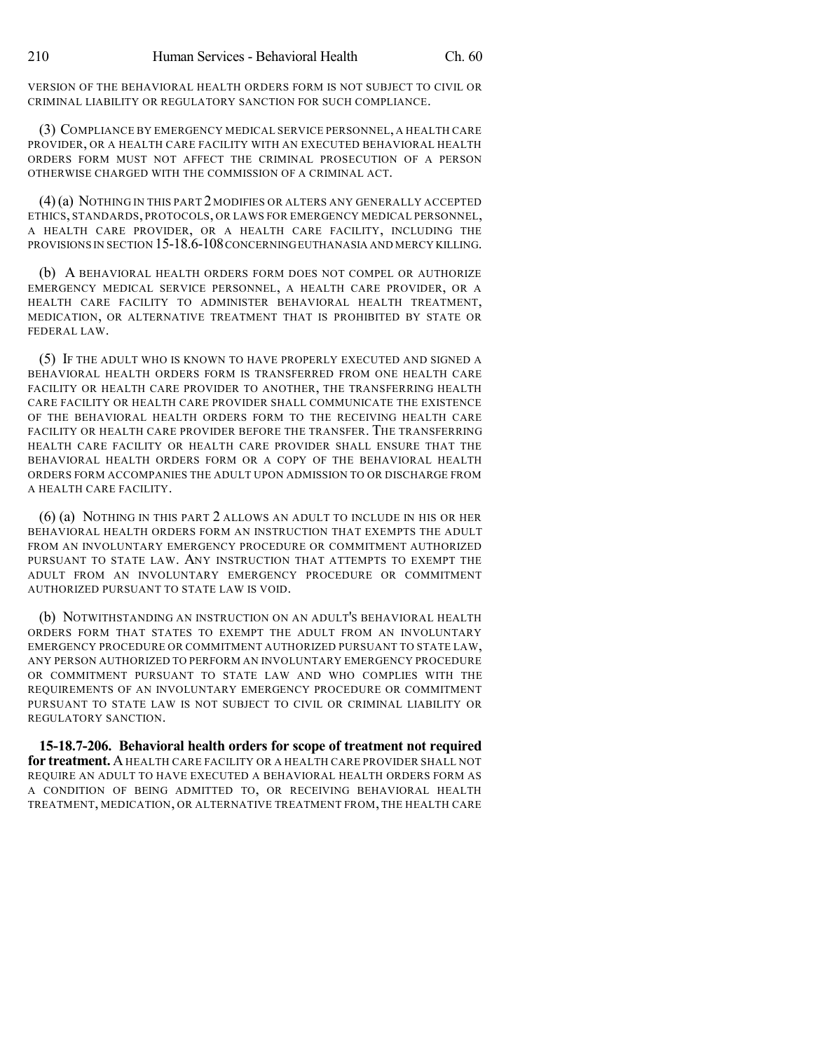VERSION OF THE BEHAVIORAL HEALTH ORDERS FORM IS NOT SUBJECT TO CIVIL OR CRIMINAL LIABILITY OR REGULATORY SANCTION FOR SUCH COMPLIANCE.

(3) COMPLIANCE BY EMERGENCY MEDICAL SERVICE PERSONNEL, A HEALTH CARE PROVIDER, OR A HEALTH CARE FACILITY WITH AN EXECUTED BEHAVIORAL HEALTH ORDERS FORM MUST NOT AFFECT THE CRIMINAL PROSECUTION OF A PERSON OTHERWISE CHARGED WITH THE COMMISSION OF A CRIMINAL ACT.

(4)(a) NOTHING IN THIS PART 2 MODIFIES OR ALTERS ANY GENERALLY ACCEPTED ETHICS, STANDARDS, PROTOCOLS, OR LAWS FOR EMERGENCY MEDICAL PERSONNEL, A HEALTH CARE PROVIDER, OR A HEALTH CARE FACILITY, INCLUDING THE PROVISIONS IN SECTION 15-18.6-108CONCERNINGEUTHANASIA AND MERCY KILLING.

(b) A BEHAVIORAL HEALTH ORDERS FORM DOES NOT COMPEL OR AUTHORIZE EMERGENCY MEDICAL SERVICE PERSONNEL, A HEALTH CARE PROVIDER, OR A HEALTH CARE FACILITY TO ADMINISTER BEHAVIORAL HEALTH TREATMENT, MEDICATION, OR ALTERNATIVE TREATMENT THAT IS PROHIBITED BY STATE OR FEDERAL LAW.

(5) IF THE ADULT WHO IS KNOWN TO HAVE PROPERLY EXECUTED AND SIGNED A BEHAVIORAL HEALTH ORDERS FORM IS TRANSFERRED FROM ONE HEALTH CARE FACILITY OR HEALTH CARE PROVIDER TO ANOTHER, THE TRANSFERRING HEALTH CARE FACILITY OR HEALTH CARE PROVIDER SHALL COMMUNICATE THE EXISTENCE OF THE BEHAVIORAL HEALTH ORDERS FORM TO THE RECEIVING HEALTH CARE FACILITY OR HEALTH CARE PROVIDER BEFORE THE TRANSFER. THE TRANSFERRING HEALTH CARE FACILITY OR HEALTH CARE PROVIDER SHALL ENSURE THAT THE BEHAVIORAL HEALTH ORDERS FORM OR A COPY OF THE BEHAVIORAL HEALTH ORDERS FORM ACCOMPANIES THE ADULT UPON ADMISSION TO OR DISCHARGE FROM A HEALTH CARE FACILITY.

(6) (a) NOTHING IN THIS PART 2 ALLOWS AN ADULT TO INCLUDE IN HIS OR HER BEHAVIORAL HEALTH ORDERS FORM AN INSTRUCTION THAT EXEMPTS THE ADULT FROM AN INVOLUNTARY EMERGENCY PROCEDURE OR COMMITMENT AUTHORIZED PURSUANT TO STATE LAW. ANY INSTRUCTION THAT ATTEMPTS TO EXEMPT THE ADULT FROM AN INVOLUNTARY EMERGENCY PROCEDURE OR COMMITMENT AUTHORIZED PURSUANT TO STATE LAW IS VOID.

(b) NOTWITHSTANDING AN INSTRUCTION ON AN ADULT'S BEHAVIORAL HEALTH ORDERS FORM THAT STATES TO EXEMPT THE ADULT FROM AN INVOLUNTARY EMERGENCY PROCEDURE OR COMMITMENT AUTHORIZED PURSUANT TO STATE LAW, ANY PERSON AUTHORIZED TO PERFORM AN INVOLUNTARY EMERGENCY PROCEDURE OR COMMITMENT PURSUANT TO STATE LAW AND WHO COMPLIES WITH THE REQUIREMENTS OF AN INVOLUNTARY EMERGENCY PROCEDURE OR COMMITMENT PURSUANT TO STATE LAW IS NOT SUBJECT TO CIVIL OR CRIMINAL LIABILITY OR REGULATORY SANCTION.

**15-18.7-206. Behavioral health orders for scope of treatment not required for treatment.** AHEALTH CARE FACILITY OR A HEALTH CARE PROVIDER SHALL NOT REQUIRE AN ADULT TO HAVE EXECUTED A BEHAVIORAL HEALTH ORDERS FORM AS A CONDITION OF BEING ADMITTED TO, OR RECEIVING BEHAVIORAL HEALTH TREATMENT, MEDICATION, OR ALTERNATIVE TREATMENT FROM, THE HEALTH CARE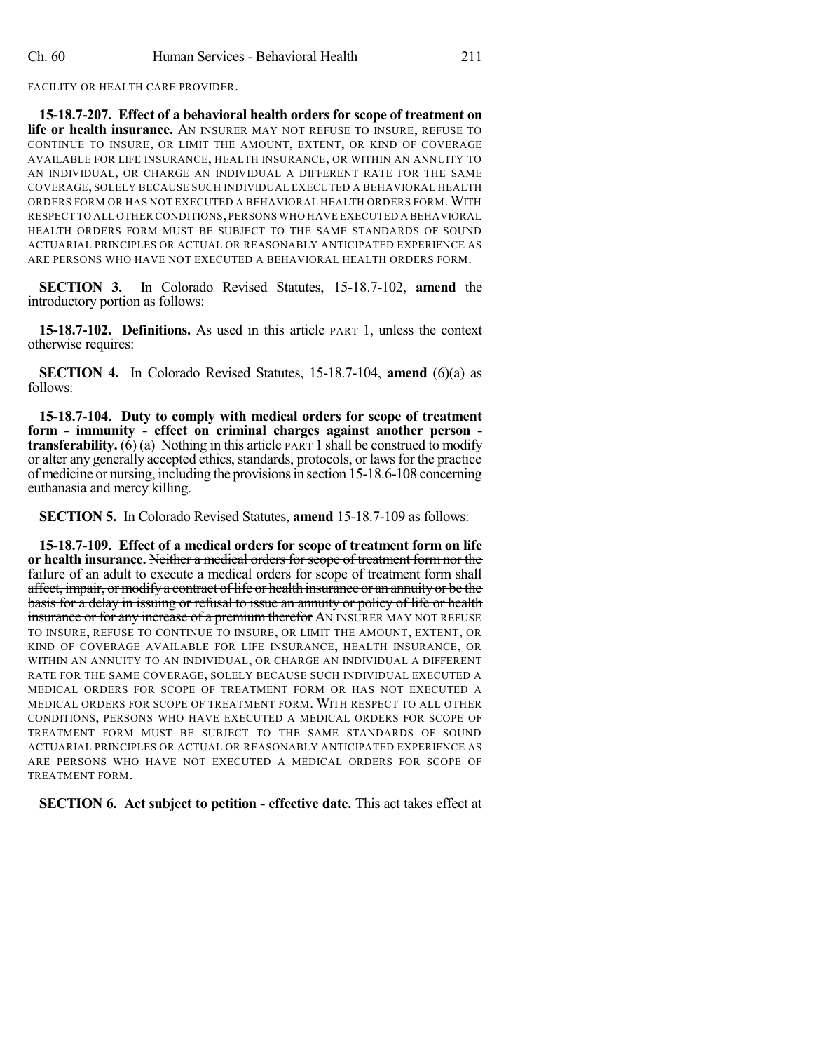FACILITY OR HEALTH CARE PROVIDER.

**15-18.7-207. Effect of a behavioral health orders for scope of treatment on life or health insurance.** AN INSURER MAY NOT REFUSE TO INSURE, REFUSE TO CONTINUE TO INSURE, OR LIMIT THE AMOUNT, EXTENT, OR KIND OF COVERAGE AVAILABLE FOR LIFE INSURANCE, HEALTH INSURANCE, OR WITHIN AN ANNUITY TO AN INDIVIDUAL, OR CHARGE AN INDIVIDUAL A DIFFERENT RATE FOR THE SAME COVERAGE, SOLELY BECAUSE SUCH INDIVIDUAL EXECUTED A BEHAVIORAL HEALTH ORDERS FORM OR HAS NOT EXECUTED A BEHAVIORAL HEALTH ORDERS FORM. WITH RESPECT TO ALL OTHER CONDITIONS,PERSONS WHO HAVE EXECUTED A BEHAVIORAL HEALTH ORDERS FORM MUST BE SUBJECT TO THE SAME STANDARDS OF SOUND ACTUARIAL PRINCIPLES OR ACTUAL OR REASONABLY ANTICIPATED EXPERIENCE AS ARE PERSONS WHO HAVE NOT EXECUTED A BEHAVIORAL HEALTH ORDERS FORM.

**SECTION 3.** In Colorado Revised Statutes, 15-18.7-102, **amend** the introductory portion as follows:

**15-18.7-102. Definitions.** As used in this article PART 1, unless the context otherwise requires:

**SECTION 4.** In Colorado Revised Statutes, 15-18.7-104, **amend** (6)(a) as follows:

**15-18.7-104. Duty to comply with medical orders for scope of treatment form - immunity - effect on criminal charges against another person transferability.** (6) (a) Nothing in this article PART 1 shall be construed to modify or alter any generally accepted ethics, standards, protocols, or laws for the practice of medicine or nursing, including the provisionsin section 15-18.6-108 concerning euthanasia and mercy killing.

**SECTION 5.** In Colorado Revised Statutes, **amend** 15-18.7-109 as follows:

**15-18.7-109. Effect of a medical orders for scope of treatment form on life or health insurance.** Neither a medical orders for scope of treatment form nor the failure of an adult to execute a medical orders for scope of treatment form shall affect, impair, or modify a contract of life or health insurance or an annuity or be the basis for a delay in issuing or refusal to issue an annuity or policy of life or health insurance or for any increase of a premium therefor AN INSURER MAY NOT REFUSE TO INSURE, REFUSE TO CONTINUE TO INSURE, OR LIMIT THE AMOUNT, EXTENT, OR KIND OF COVERAGE AVAILABLE FOR LIFE INSURANCE, HEALTH INSURANCE, OR WITHIN AN ANNUITY TO AN INDIVIDUAL, OR CHARGE AN INDIVIDUAL A DIFFERENT RATE FOR THE SAME COVERAGE, SOLELY BECAUSE SUCH INDIVIDUAL EXECUTED A MEDICAL ORDERS FOR SCOPE OF TREATMENT FORM OR HAS NOT EXECUTED A MEDICAL ORDERS FOR SCOPE OF TREATMENT FORM. WITH RESPECT TO ALL OTHER CONDITIONS, PERSONS WHO HAVE EXECUTED A MEDICAL ORDERS FOR SCOPE OF TREATMENT FORM MUST BE SUBJECT TO THE SAME STANDARDS OF SOUND ACTUARIAL PRINCIPLES OR ACTUAL OR REASONABLY ANTICIPATED EXPERIENCE AS ARE PERSONS WHO HAVE NOT EXECUTED A MEDICAL ORDERS FOR SCOPE OF TREATMENT FORM.

**SECTION 6. Act subject to petition - effective date.** This act takes effect at